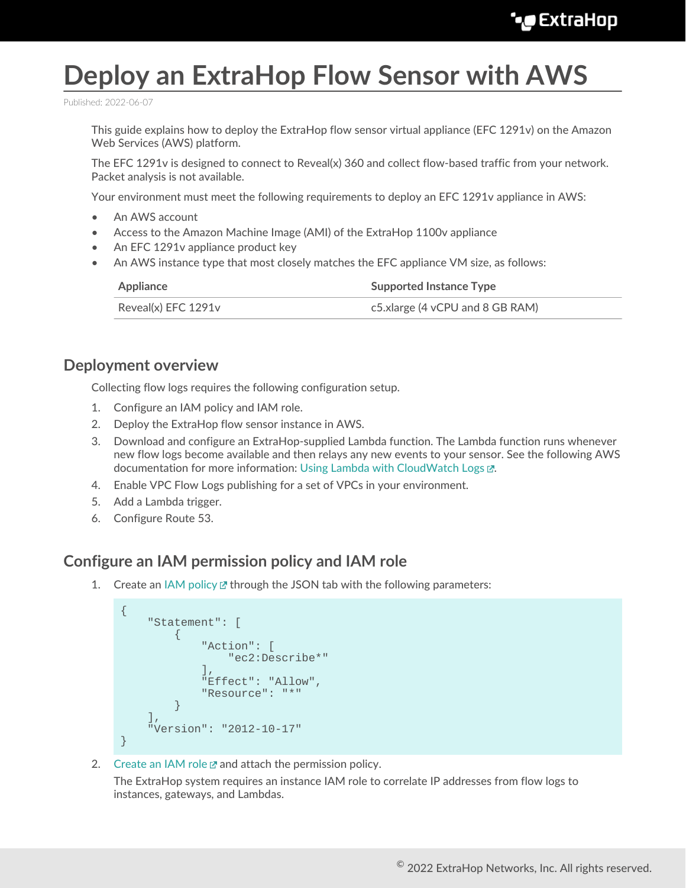# **Deploy an ExtraHop Flow Sensor with AWS**

Published: 2022-06-07

This guide explains how to deploy the ExtraHop flow sensor virtual appliance (EFC 1291v) on the Amazon Web Services (AWS) platform.

The EFC 1291v is designed to connect to Reveal(x) 360 and collect flow-based traffic from your network. Packet analysis is not available.

Your environment must meet the following requirements to deploy an EFC 1291v appliance in AWS:

- An AWS account
- Access to the Amazon Machine Image (AMI) of the ExtraHop 1100v appliance
- An EFC 1291v appliance product key
- An AWS instance type that most closely matches the EFC appliance VM size, as follows:

| Appliance           | <b>Supported Instance Type</b>  |
|---------------------|---------------------------------|
| Reveal(x) EFC 1291v | c5.xlarge (4 vCPU and 8 GB RAM) |

#### **Deployment overview**

Collecting flow logs requires the following configuration setup.

- 1. Configure an IAM policy and IAM role.
- 2. Deploy the ExtraHop flow sensor instance in AWS.
- 3. Download and configure an ExtraHop-supplied Lambda function. The Lambda function runs whenever new flow logs become available and then relays any new events to your sensor. See the following AWS documentation for more information: [Using Lambda with CloudWatch Logs](https://docs.aws.amazon.com/lambda/latest/dg/services-cloudwatchlogs.html) ...
- 4. Enable VPC Flow Logs publishing for a set of VPCs in your environment.
- 5. Add a Lambda trigger.
- 6. Configure Route 53.

#### **Configure an IAM permission policy and IAM role**

1. Create an [IAM policy](https://docs.aws.amazon.com/IAM/latest/UserGuide/access_policies_create-console.html)  $\mathbb Z$  through the JSON tab with the following parameters:

```
{
       "Statement": [
\left\{ \begin{array}{cc} 0 & 0 \\ 0 & 0 \end{array} \right\} "Action": [
                        "ec2:Describe*"
                   ],
                   "Effect": "Allow",
                   "Resource": "*"
 }
       ],
       "Version": "2012-10-17"
}
```
2. [Create an IAM role](https://docs.aws.amazon.com/AWSEC2/latest/UserGuide/iam-roles-for-amazon-ec2.html#create-iam-role)  $\mathbb Z$  and attach the permission policy.

The ExtraHop system requires an instance IAM role to correlate IP addresses from flow logs to instances, gateways, and Lambdas.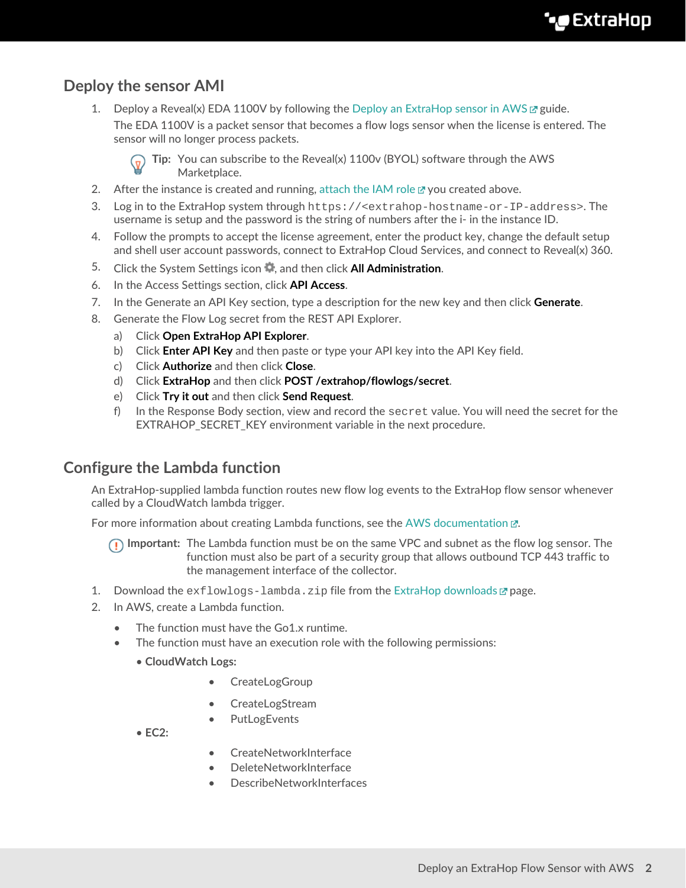## **Deploy the sensor AMI**

1. Deploy a Reveal(x) EDA 1100V by following the [Deploy an ExtraHop sensor in AWS](https://docs.extrahop.com/8.9/deploy-eda-aws)  $\mathbb Z$  guide.

The EDA 1100V is a packet sensor that becomes a flow logs sensor when the license is entered. The sensor will no longer process packets.



**Tip:** You can subscribe to the Reveal(x) 1100v (BYOL) software through the AWS Marketplace.

- 2. After the instance is created and running, [attach the IAM role](https://docs.aws.amazon.com/AWSEC2/latest/UserGuide/iam-roles-for-amazon-ec2.html#attach-iam-role)  $\mathbb Z$  you created above.
- 3. Log in to the ExtraHop system through https://<extrahop-hostname-or-IP-address>. The username is setup and the password is the string of numbers after the i- in the instance ID.
- 4. Follow the prompts to accept the license agreement, enter the product key, change the default setup and shell user account passwords, connect to ExtraHop Cloud Services, and connect to Reveal(x) 360.
- 5. Click the System Settings icon , and then click **All Administration**.
- 6. In the Access Settings section, click **API Access**.
- 7. In the Generate an API Key section, type a description for the new key and then click **Generate**.
- 8. Generate the Flow Log secret from the REST API Explorer.
	- a) Click **Open ExtraHop API Explorer**.
	- b) Click **Enter API Key** and then paste or type your API key into the API Key field.
	- c) Click **Authorize** and then click **Close**.
	- d) Click **ExtraHop** and then click **POST /extrahop/flowlogs/secret**.
	- e) Click **Try it out** and then click **Send Request**.
	- f) In the Response Body section, view and record the secret value. You will need the secret for the EXTRAHOP\_SECRET\_KEY environment variable in the next procedure.

#### **Configure the Lambda function**

An ExtraHop-supplied lambda function routes new flow log events to the ExtraHop flow sensor whenever called by a CloudWatch lambda trigger.

For more information about creating Lambda functions, see the [AWS documentation](https://docs.aws.amazon.com/lambda/latest/dg/getting-started-create-function.html)  $\mathbb{Z}$ .

- **Important:** The Lambda function must be on the same VPC and subnet as the flow log sensor. The function must also be part of a security group that allows outbound TCP 443 traffic to the management interface of the collector.
- 1. Download the  $ext{lowlogs-lambda}.zip file from the Extrahop downloads  $\mathbb{F}$  page.$
- 2. In AWS, create a Lambda function.
	- The function must have the Go1.x runtime.
	- The function must have an execution role with the following permissions:
		- **CloudWatch Logs:**
			- CreateLogGroup
			- CreateLogStream
			- **PutLogEvents**

• **EC2:**

- CreateNetworkInterface
- DeleteNetworkInterface
- DescribeNetworkInterfaces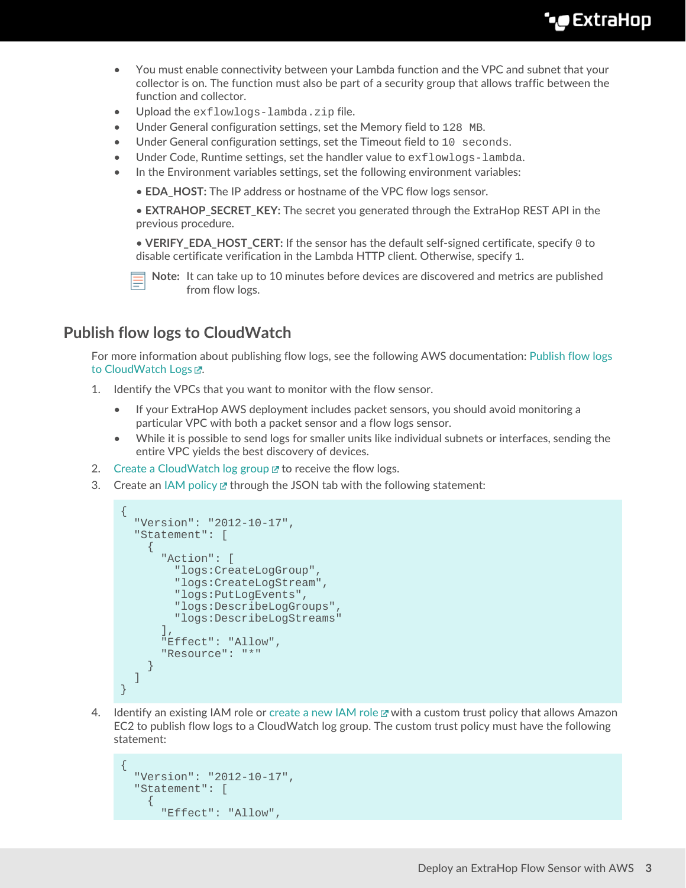# \***@ExtraHop**

- You must enable connectivity between your Lambda function and the VPC and subnet that your collector is on. The function must also be part of a security group that allows traffic between the function and collector.
- Upload the exflowlogs-lambda.zip file.
- Under General configuration settings, set the Memory field to 128 MB.
- Under General configuration settings, set the Timeout field to 10 seconds.
- Under Code, Runtime settings, set the handler value to exflowlogs-lambda.
- In the Environment variables settings, set the following environment variables:

• **EDA\_HOST:** The IP address or hostname of the VPC flow logs sensor.

• **EXTRAHOP\_SECRET\_KEY:** The secret you generated through the ExtraHop REST API in the previous procedure.

• **VERIFY\_EDA\_HOST\_CERT:** If the sensor has the default self-signed certificate, specify 0 to disable certificate verification in the Lambda HTTP client. Otherwise, specify 1.

**Note:** It can take up to 10 minutes before devices are discovered and metrics are published from flow logs.

#### <span id="page-2-0"></span>**Publish flow logs to CloudWatch**

For more information about publishing flow logs, see the following AWS documentation: [Publish flow logs](https://docs.aws.amazon.com/vpc/latest/userguide/flow-logs-cwl.html) [to CloudWatch Logs](https://docs.aws.amazon.com/vpc/latest/userguide/flow-logs-cwl.html) Z.

- 1. Identify the VPCs that you want to monitor with the flow sensor.
	- If your ExtraHop AWS deployment includes packet sensors, you should avoid monitoring a particular VPC with both a packet sensor and a flow logs sensor.
	- While it is possible to send logs for smaller units like individual subnets or interfaces, sending the entire VPC yields the best discovery of devices.
- 2. [Create a CloudWatch log group](https://docs.aws.amazon.com/AmazonCloudWatch/latest/logs/Working-with-log-groups-and-streams.html#Create-Log-Group)  $\mathbb Z$  to receive the flow logs.
- 3. Create an [IAM policy](https://docs.aws.amazon.com/IAM/latest/UserGuide/access_policies_create-console.html)  $\mathbb Z$  through the JSON tab with the following statement:

```
{
   "Version": "2012-10-17",
   "Statement": [
     {
       "Action": [
         "logs:CreateLogGroup",
         "logs:CreateLogStream",
         "logs:PutLogEvents",
         "logs:DescribeLogGroups",
         "logs:DescribeLogStreams"
      \vert,
       "Effect": "Allow",
       "Resource": "*"
 }
   ]
}
```
4. Identify an existing IAM role or [create a new IAM role](https://docs.aws.amazon.com/vpc/latest/userguide/flow-logs-cwl.html) E with a custom trust policy that allows Amazon EC2 to publish flow logs to a CloudWatch log group. The custom trust policy must have the following statement:

```
{
   "Version": "2012-10-17",
   "Statement": [
    \{ "Effect": "Allow",
```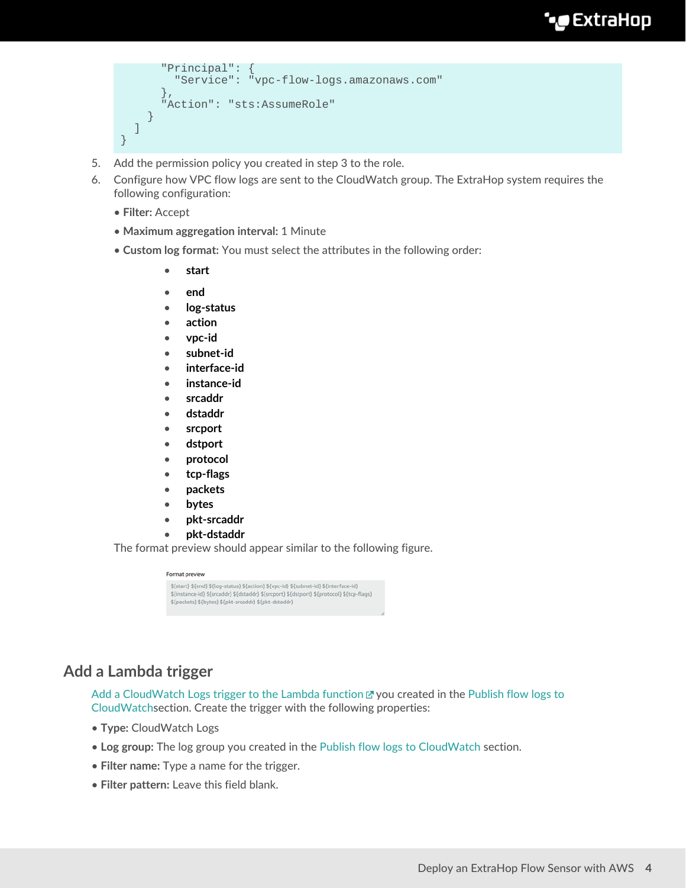# **°∙e** ExtraHop

```
 "Principal": {
         "Service": "vpc-flow-logs.amazonaws.com"
, \},
       "Action": "sts:AssumeRole"
     }
   ]
```
- 5. Add the permission policy you created in step 3 to the role.
- 6. Configure how VPC flow logs are sent to the CloudWatch group. The ExtraHop system requires the following configuration:
	- **Filter:** Accept

}

- **Maximum aggregation interval:** 1 Minute
- **Custom log format:** You must select the attributes in the following order:
	- **start**
	- **end**
	- **log-status**
	- **action**
	- **vpc-id**
	- **subnet-id**
	- **interface-id**
	- **instance-id**
	- **srcaddr**
	- **dstaddr**
	- **srcport**
	- **dstport**
	- **protocol**
	- **tcp-flags**
	- **packets**
	- **bytes**
	- **pkt-srcaddr**
	- **pkt-dstaddr**

The format preview should appear similar to the following figure.

# Format preview \${start} \${end} \${log-status} \${action} \${vpc-id} \${subnet-id} \${interface-id}<br>\${instance-id} \${srcaddr} \${dstaddr} \${srcport} \${dstport} \${protocol} \${tcp-flags}<br>\${packets} \${bytes} \${pkt-srcaddr} \${pkt-dstaddr}

### **Add a Lambda trigger**

[Add a CloudWatch Logs trigger to the Lambda function](https://docs.aws.amazon.com/AmazonCloudWatch/latest/events/RunLambdaSchedule.html)  $\mathbb{Z}$  you created in the [Publish flow logs to](#page-2-0) [CloudWatchs](#page-2-0)ection. Create the trigger with the following properties:

- **Type:** CloudWatch Logs
- **Log group:** The log group you created in the [Publish flow logs to CloudWatch](#page-2-0) section.
- **Filter name:** Type a name for the trigger.
- **Filter pattern:** Leave this field blank.